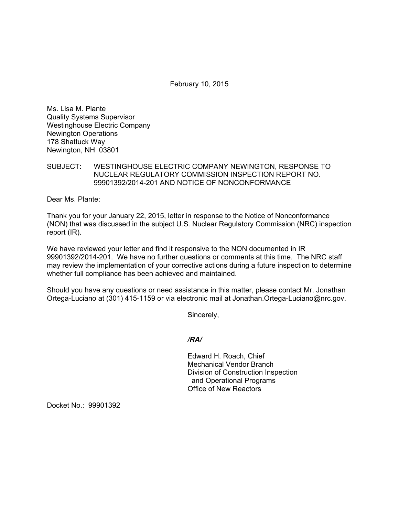February 10, 2015

Ms. Lisa M. Plante Quality Systems Supervisor Westinghouse Electric Company Newington Operations 178 Shattuck Way Newington, NH 03801

SUBJECT: WESTINGHOUSE ELECTRIC COMPANY NEWINGTON, RESPONSE TO NUCLEAR REGULATORY COMMISSION INSPECTION REPORT NO. 99901392/2014-201 AND NOTICE OF NONCONFORMANCE

Dear Ms. Plante:

Thank you for your January 22, 2015, letter in response to the Notice of Nonconformance (NON) that was discussed in the subject U.S. Nuclear Regulatory Commission (NRC) inspection report (IR).

We have reviewed your letter and find it responsive to the NON documented in IR 99901392/2014-201. We have no further questions or comments at this time. The NRC staff may review the implementation of your corrective actions during a future inspection to determine whether full compliance has been achieved and maintained.

Should you have any questions or need assistance in this matter, please contact Mr. Jonathan Ortega-Luciano at (301) 415-1159 or via electronic mail at Jonathan.Ortega-Luciano@nrc.gov.

Sincerely,

### */RA/*

Edward H. Roach, Chief Mechanical Vendor Branch Division of Construction Inspection and Operational Programs Office of New Reactors

Docket No.: 99901392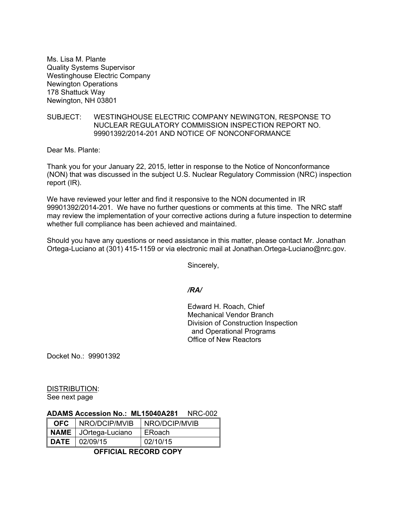Ms. Lisa M. Plante Quality Systems Supervisor Westinghouse Electric Company Newington Operations 178 Shattuck Way Newington, NH 03801

### SUBJECT: WESTINGHOUSE ELECTRIC COMPANY NEWINGTON, RESPONSE TO NUCLEAR REGULATORY COMMISSION INSPECTION REPORT NO. 99901392/2014-201 AND NOTICE OF NONCONFORMANCE

Dear Ms. Plante:

Thank you for your January 22, 2015, letter in response to the Notice of Nonconformance (NON) that was discussed in the subject U.S. Nuclear Regulatory Commission (NRC) inspection report (IR).

We have reviewed your letter and find it responsive to the NON documented in IR 99901392/2014-201. We have no further questions or comments at this time. The NRC staff may review the implementation of your corrective actions during a future inspection to determine whether full compliance has been achieved and maintained.

Should you have any questions or need assistance in this matter, please contact Mr. Jonathan Ortega-Luciano at (301) 415-1159 or via electronic mail at Jonathan.Ortega-Luciano@nrc.gov.

Sincerely,

## */RA/*

Edward H. Roach, Chief Mechanical Vendor Branch Division of Construction Inspection and Operational Programs Office of New Reactors

Docket No.: 99901392

DISTRIBUTION: See next page

# **ADAMS Accession No.: ML15040A281** NRC-002

| OFC. | <b>NRO/DCIP/MVIB</b>   | NRO/DCIP/MVIB |
|------|------------------------|---------------|
|      | NAME   JOrtega-Luciano | ERoach        |
|      | $DATE$ $102/09/15$     | 02/10/15      |

**OFFICIAL RECORD COPY**